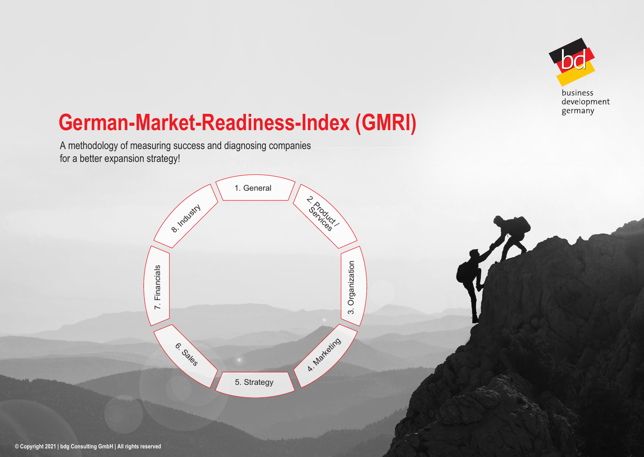

# **German-Market-Readiness-Index (GMRI)**

A methodology of measuring success and diagnosing companies for a better expansion strategy!

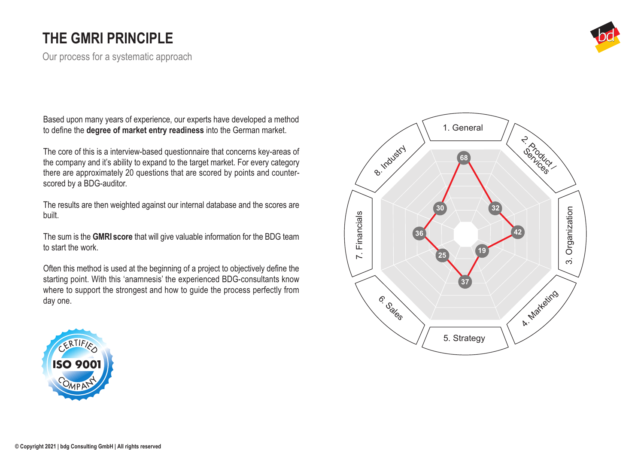### **THE GMRI PRINCIPLE**

Our process for a systematic approach

Experience, our experts have developed a method to define the **degree of market entry readiness** into the German market.

The core of this is a interview-based questionnaire that concerns key-areas of the company and it's ability to expand to the target market. For every category there are approximately 20 questions that are scored by points and counterscored by a BDG-auditor.

The results are then weighted against our internal database and the scores are built.

The sum is the **GMRI score** that will give valuable information for the BDG team to start the work.

Often this method is used at the beginning of a project to objectively define the starting point. With this 'anamnesis' the experienced BDG-consultants know where to support the strongest and how to guide the process perfectly from day one.





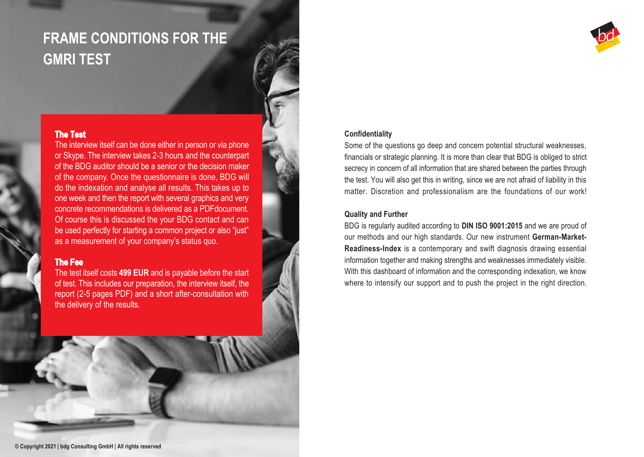### **FRAME CONDITIONS FOR THE GMRI TEST**

#### **The Test**

The interview itself can be done either in person or via phone or Skype. The interview takes 2-3 hours and the counterpart of the BDG auditor should be a senior or the decision maker of the company. Once the questionnaire is done, BDG will do the indexation and analyse all results. This takes up to one week and then the report with several graphics and very concrete recommendations is delivered as a PDFdocument. Of course this is discussed the your BDG contact and can be used perfectly for starting a common project or also "just" as a measurement of your company's status quo.

#### **The Fee**

The test itself costs **499 EUR** and is payable before the start of test. This includes our preparation, the interview itself, the report (2-5 pages PDF) and a short after-consultation with the delivery of the results.



### **Confidentiality**

Some of the questions go deep and concern potential structural weaknesses, financials or strategic planning. It is more than clear that BDG is obliged to strict secrecy in concern of all information that are shared between the parties through the test. You will also get this in writing, since we are not afraid of liability in this matter. Discretion and professionalism are the foundations of our work!

#### **Quality and Further**

BDG is regularly audited according to **DIN ISO 9001:2015** and we are proud of our methods and our high standards. Our new instrument **German-Market-Readiness-Index** is a contemporary and swift diagnosis drawing essential information together and making strengths and weaknesses immediately visible. With this dashboard of information and the corresponding indexation, we know where to intensify our support and to push the project in the right direction.

**© Copyright 2021 | bdg Consulting GmbH | All rights reserved**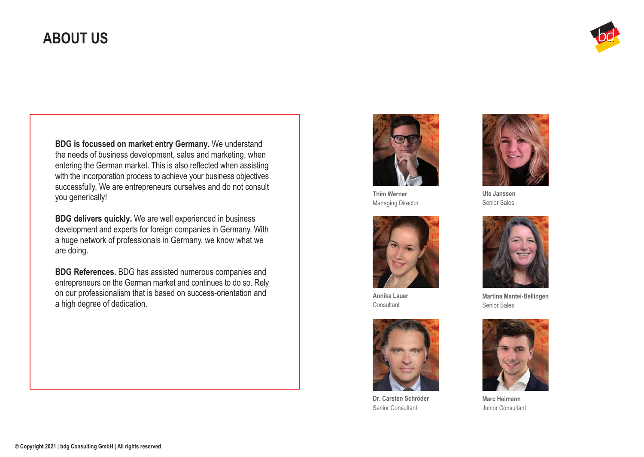### **ABOUT US**



**BDG is focussed on market entry Germany.** We understand the needs of business development, sales and marketing, when entering the German market. This is also reflected when assisting with the incorporation process to achieve your business objectives successfully. We are entrepreneurs ourselves and do not consult you generically!

**BDG delivers quickly.** We are well experienced in business development and experts for foreign companies in Germany. With a huge network of professionals in Germany, we know what we are doing.

**BDG References.** BDG has assisted numerous companies and entrepreneurs on the German market and continues to do so. Rely on our professionalism that is based on success-orientation and a high degree of dedication.



**Thim Werner** Managing Director



**Annika Lauer Consultant** 



**Dr. Carsten Schröder** Senior Consultant



**Ute Janssen** Senior Sales



**Martina Mantei-Bellingen** Senior Sales



**Marc Heimann** Junior Consultant